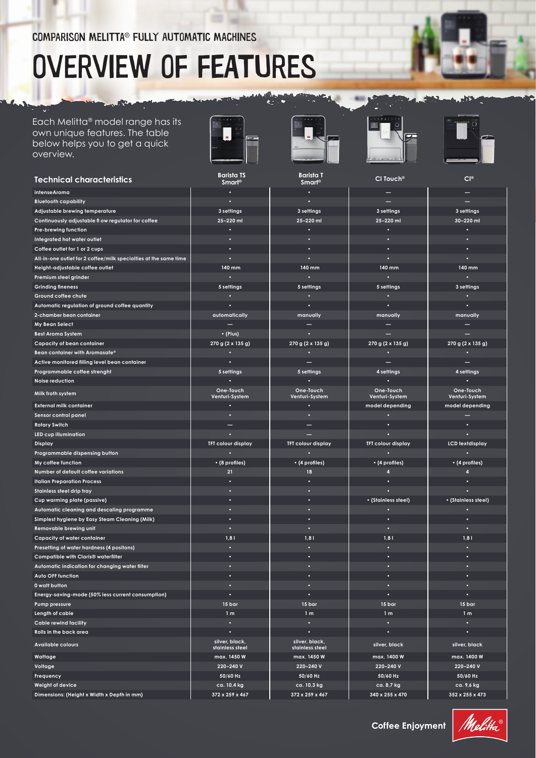# Overview of features

### Each Melitta® model range has its own unique features. The table below helps you to get a quick overview.

 $\sum_{i=1}^n a_i$ 

K.









لأدف

| <b>Technical characteristics</b>                                                      | <b>Barista TS</b><br><b>Smart<sup>®</sup></b> | <b>Barista T</b><br><b>Smart<sup>®</sup></b> | CI Touch <sup>®</sup>             | CI <sup>®</sup>                   |
|---------------------------------------------------------------------------------------|-----------------------------------------------|----------------------------------------------|-----------------------------------|-----------------------------------|
| intenseAroma                                                                          |                                               |                                              |                                   |                                   |
| <b>Bluetooth capability</b>                                                           |                                               |                                              |                                   |                                   |
| Adjustable brewing temperature                                                        | 3 settings                                    | 3 settings                                   | 3 settings                        | 3 settings                        |
| Continuously adjustable fl ow regulator for coffee                                    | 25-220 ml                                     | 25-220 ml                                    | 25-220 ml                         | 30-220 ml                         |
| Pre-brewing function                                                                  |                                               |                                              |                                   |                                   |
| Integrated hot water outlet                                                           |                                               |                                              |                                   |                                   |
| Coffee outlet for 1 or 2 cups                                                         |                                               |                                              |                                   |                                   |
| All-in-one outlet for 2 coffee/milk specialties at the same time                      |                                               |                                              |                                   |                                   |
| Height-adjustable coffee outlet                                                       | $140$ mm                                      | 140 mm                                       | 140 mm                            | 140 mm                            |
| Premium steel grinder                                                                 |                                               |                                              |                                   |                                   |
| <b>Grinding fineness</b>                                                              | 5 settings                                    | 5 settings                                   | 5 settings                        | 3 settings                        |
| Ground coffee chute                                                                   |                                               |                                              |                                   |                                   |
| Automatic regulation of ground coffee quantity                                        |                                               |                                              |                                   |                                   |
| 2-chamber bean container                                                              | automatically                                 | manually                                     | manually                          | manually                          |
| My Bean Select                                                                        |                                               |                                              |                                   |                                   |
| <b>Best Aroma System</b>                                                              | $\cdot$ (Plus)                                |                                              |                                   |                                   |
| <b>Capacity of bean container</b>                                                     | 270 g (2 x 135 g)                             | 270 g (2 x 135 g)                            | 270 g (2 x 135 g)                 | 270 g (2 x 135 g)                 |
| Bean container with Aromasafe®                                                        |                                               |                                              |                                   |                                   |
| Active monitored filling level bean container                                         |                                               |                                              |                                   |                                   |
| Programmable coffee strenght                                                          | 5 settings                                    | 5 settings                                   | 4 settings                        | 4 settings                        |
| Noise reduction                                                                       |                                               |                                              |                                   |                                   |
| Milk froth system                                                                     | One-Touch                                     | One-Touch                                    | One-Touch                         | One-Touch                         |
| <b>External milk container</b>                                                        | Venturi-System                                | Venturi-System                               | Venturi-System<br>model depending | Venturi-System<br>model depending |
| Sensor control panel                                                                  |                                               |                                              |                                   |                                   |
|                                                                                       |                                               |                                              |                                   |                                   |
| <b>Rotary Switch</b><br>LED cup illumination                                          |                                               |                                              |                                   |                                   |
| Display                                                                               | <b>TFT colour display</b>                     | <b>TFT colour display</b>                    | <b>TFT colour display</b>         | <b>LCD</b> textdisplay            |
| Programmable dispensing button                                                        |                                               |                                              |                                   |                                   |
| My coffee function                                                                    | • (8 profiles)                                | • (4 profiles)                               | • (4 profiles)                    | • (4 profiles)                    |
| Number of default coffee variations                                                   | 21                                            | 18                                           | 4                                 | z                                 |
| <b>Italian Preparation Process</b>                                                    |                                               |                                              |                                   |                                   |
| Stainless steel drip tray                                                             |                                               |                                              |                                   |                                   |
| Cup warming plate (passive)                                                           |                                               |                                              | • (Stainless steel)               | • (Stainless steel)               |
| Automatic cleaning and descaling programme                                            |                                               |                                              |                                   |                                   |
| Simplest hygiene by Easy Steam Cleaning (Milk)                                        |                                               |                                              |                                   |                                   |
| Removable brewing unit                                                                |                                               | Ы                                            | о                                 |                                   |
|                                                                                       | 1,81                                          | 1,8                                          | 1,8                               | 1, 8                              |
| <b>Capacity of water container</b><br>Presetting of water hardness (4 positons)       |                                               |                                              | в                                 |                                   |
|                                                                                       |                                               |                                              |                                   |                                   |
| Compatible with Claris® waterfilter<br>Automatic indication for changing water filter |                                               |                                              |                                   |                                   |
| Auto OFF function                                                                     |                                               |                                              |                                   |                                   |
| 0 watt button                                                                         |                                               |                                              | c                                 |                                   |
| Energy-saving-mode (50% less current consumption)                                     |                                               |                                              |                                   |                                   |
| Pump pressure                                                                         | 15 bar                                        | 15 bar                                       | 15 bar                            | 15 bar                            |
|                                                                                       |                                               |                                              |                                   |                                   |
| Length of cable<br><b>Cable rewind facility</b>                                       | 1 <sub>m</sub>                                | 1 <sub>m</sub>                               | 1 <sub>m</sub>                    | 1 <sub>m</sub>                    |
|                                                                                       |                                               |                                              |                                   |                                   |
| Rolls in the back area                                                                | silver, black,                                | silver, black,                               |                                   |                                   |
| <b>Available colours</b>                                                              | stainless steel                               | stainless steel                              | silver, black                     | silver, black                     |
| Wattage                                                                               | max. 1450 W                                   | max. 1450 W                                  | max. 1400 W                       | max. 1400 W                       |
| Voltage                                                                               | 220-240 V                                     | 220-240 V                                    | 220-240 V                         | 220-240 V                         |
| Frequency                                                                             | 50/60 Hz                                      | 50/60 Hz                                     | 50/60 Hz                          | 50/60 Hz                          |
| Weight of device                                                                      | ca. 10,4 kg                                   | ca. 10,3 kg                                  | ca. 8,7 kg                        | ca. 9,6 kg                        |
| Dimensions: (Height x Width x Depth in mm)                                            | 372 x 259 x 467                               | 372 x 259 x 467                              | 340 x 255 x 470                   | 352 x 255 x 473                   |

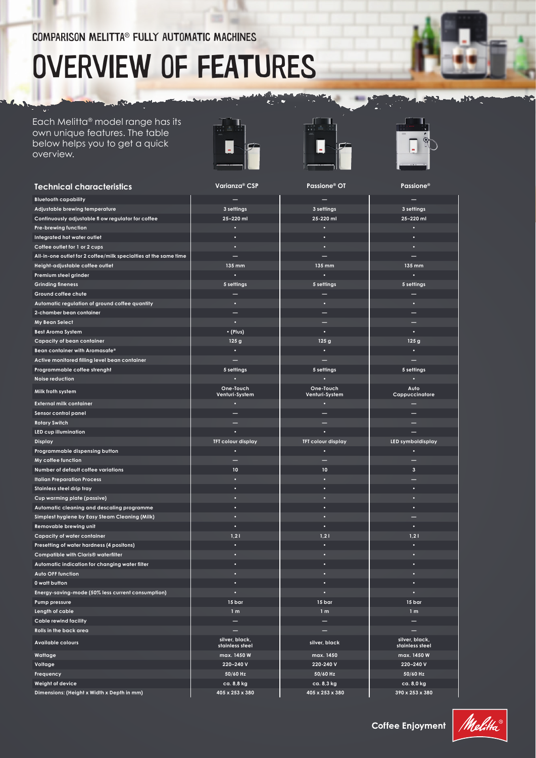# Overview of features

Each Melitta® model range has its own unique features. The table below helps you to get a quick overview.

**Control** 

K.







| <b>Technical characteristics</b>                                 | Varianza® CSP                     | Passione <sup>®</sup> OT    | <b>Passione®</b>                  |
|------------------------------------------------------------------|-----------------------------------|-----------------------------|-----------------------------------|
| <b>Bluetooth capability</b>                                      |                                   |                             |                                   |
| Adjustable brewing temperature                                   | 3 settings                        | 3 settings                  | 3 settings                        |
| Continuously adjustable fl ow regulator for coffee               | 25-220 ml                         | 25-220 ml                   | 25-220 ml                         |
| Pre-brewing function                                             |                                   |                             |                                   |
| Integrated hot water outlet                                      |                                   |                             |                                   |
| Coffee outlet for 1 or 2 cups                                    |                                   |                             |                                   |
| All-in-one outlet for 2 coffee/milk specialties at the same time |                                   |                             |                                   |
| Height-adjustable coffee outlet                                  | 135 mm                            | 135 mm                      | 135 mm                            |
| Premium steel grinder                                            |                                   |                             |                                   |
| <b>Grinding fineness</b>                                         | 5 settings                        | 5 settings                  | 5 settings                        |
| Ground coffee chute                                              |                                   |                             |                                   |
| Automatic regulation of ground coffee quantity                   |                                   |                             |                                   |
| 2-chamber bean container                                         |                                   |                             |                                   |
| My Bean Select                                                   | ۰                                 |                             |                                   |
| <b>Best Aroma System</b>                                         | • (Plus)                          |                             |                                   |
| <b>Capacity of bean container</b>                                | 125 <sub>g</sub>                  | 125 <sub>g</sub>            | 125 g                             |
| Bean container with Aromasafe®                                   |                                   |                             |                                   |
| Active monitored filling level bean container                    |                                   |                             |                                   |
| Programmable coffee strenght                                     | 5 settings                        | 5 settings                  | 5 settings                        |
| Noise reduction                                                  |                                   |                             |                                   |
| Milk froth system                                                | One-Touch<br>Venturi-System       | One-Touch<br>Venturi-System | Auto<br>Cappuccinatore            |
| <b>External milk container</b>                                   |                                   |                             |                                   |
| Sensor control panel                                             |                                   |                             |                                   |
| <b>Rotary Switch</b>                                             |                                   |                             |                                   |
| LED cup illumination                                             |                                   |                             |                                   |
| <b>Display</b>                                                   | <b>TFT colour display</b>         | <b>TFT colour display</b>   | LED symboldisplay                 |
| Programmable dispensing button                                   |                                   |                             |                                   |
| My coffee function                                               |                                   |                             |                                   |
| Number of default coffee variations                              | 10                                | 10                          | 3                                 |
| <b>Italian Preparation Process</b>                               |                                   |                             |                                   |
| Stainless steel drip tray                                        |                                   |                             |                                   |
| Cup warming plate (passive)                                      |                                   |                             |                                   |
| Automatic cleaning and descaling programme                       |                                   |                             |                                   |
| Simplest hygiene by Easy Steam Cleaning (Milk)                   | ۰                                 |                             |                                   |
| Removable brewing unit                                           |                                   |                             |                                   |
| Capacity of water container                                      | 1,21                              | 1,21                        | 1,21                              |
| Presetting of water hardness (4 positons)                        |                                   |                             |                                   |
| Compatible with Claris® waterfilter                              |                                   |                             |                                   |
| Automatic indication for changing water filter                   |                                   |                             |                                   |
| Auto OFF function                                                |                                   |                             |                                   |
| 0 watt button                                                    |                                   | ٠                           |                                   |
| Energy-saving-mode (50% less current consumption)                |                                   |                             |                                   |
| Pump pressure                                                    | 15 bar                            | 15 bar                      | 15 <sub>bar</sub>                 |
| Length of cable                                                  | 1 <sub>m</sub>                    | 1 <sub>m</sub>              | 1 <sub>m</sub>                    |
| <b>Cable rewind facility</b>                                     |                                   |                             |                                   |
| Rolls in the back area                                           |                                   |                             |                                   |
| <b>Available colours</b>                                         | silver, black,<br>stainless steel | silver, black               | silver, black,<br>stainless steel |
| Wattage                                                          | max. 1450 W                       | max. 1450                   | max. 1450 W                       |
| Voltage                                                          | 220-240 V                         | 220-240 V                   | 220-240 V                         |
| Frequency                                                        | 50/60 Hz                          | 50/60 Hz                    | 50/60 Hz                          |
| Weight of device                                                 | ca. 8,8 kg                        | ca. 8,3 kg                  | ca. 8,0 kg                        |

**Dimensions: (Height x Width x Depth in mm) 405 x 253 x 380 405 x 253 x 380 390 x 253 x 380**

**Coffee Enjoyment**